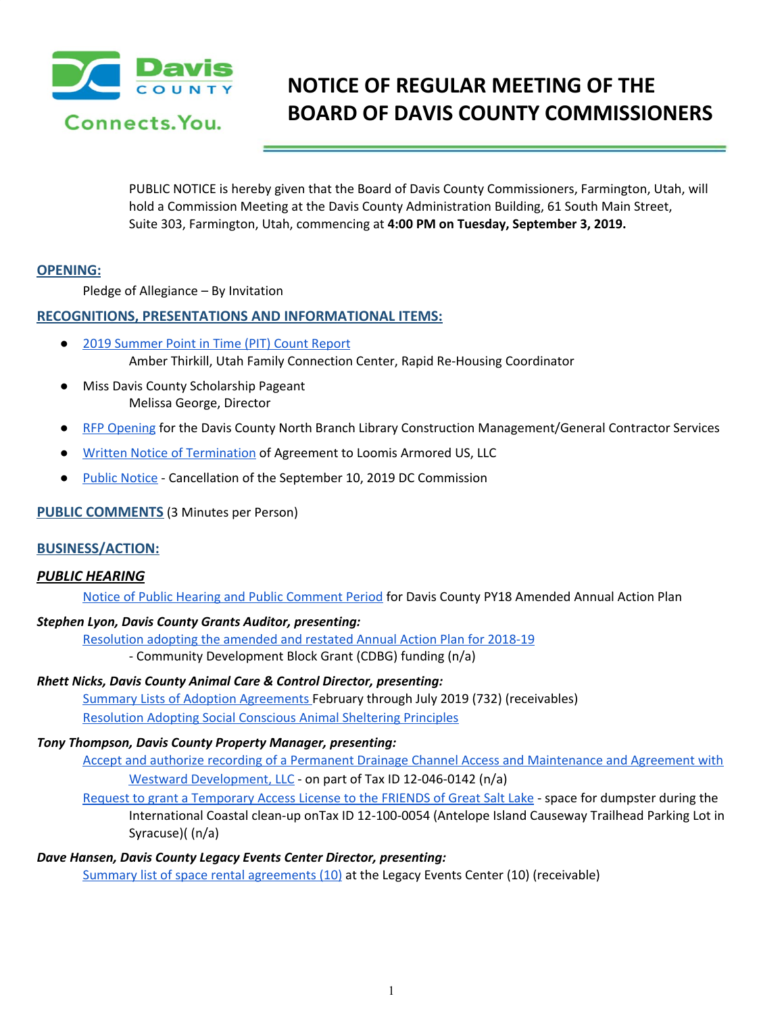

# **NOTICE OF REGULAR MEETING OF THE BOARD OF DAVIS COUNTY COMMISSIONERS**

PUBLIC NOTICE is hereby given that the Board of Davis County Commissioners, Farmington, Utah, will hold a Commission Meeting at the Davis County Administration Building, 61 South Main Street, Suite 303, Farmington, Utah, commencing at **4:00 PM on Tuesday, September 3, 2019.**

#### **OPENING:**

Pledge of Allegiance – By Invitation

## **RECOGNITIONS, PRESENTATIONS AND INFORMATIONAL ITEMS:**

- 2019 [Summer](https://drive.google.com/a/co.davis.ut.us/file/d/1c8XpcfDtCdrnLxbfsuq6n4i65vmomeNi/view?usp=drivesdk) Point in Time (PIT) Count Report Amber Thirkill, Utah Family Connection Center, Rapid Re-Housing Coordinator
- **Miss Davis County Scholarship Pageant** Melissa George, Director
- RFP [Opening](https://drive.google.com/a/co.davis.ut.us/file/d/1AQDYLUYqZNAu8x2GT6n2IdJTM4teV95a/view?usp=drivesdk) for the Davi[s](https://drive.google.com/a/co.davis.ut.us/file/d/1AQDYLUYqZNAu8x2GT6n2IdJTM4teV95a/view?usp=drivesdk) County North Branch Library Construction Management/General Contractor Services
- Written Notice of [Termination](https://drive.google.com/a/co.davis.ut.us/file/d/10e6elhZlgCU1q4XI8KAay3iHU_ZVzUyt/view?usp=drivesdk) of Agreement to Loomis Armored US, LLC
- Public [Notice](https://drive.google.com/a/co.davis.ut.us/file/d/1UqKjntxoTE1nobzcyw-ASYsJ6HDWOnvF/view?usp=drivesdk) Cancellation of the September 10, 2019 DC Commission

### **PUBLIC COMMENTS** (3 Minutes per Person)

#### **BUSINESS/ACTION:**

# *PUBLIC HEARING*

Notice of Public Hearing and Public [Comment](https://drive.google.com/a/co.davis.ut.us/file/d/16BDFxP9yzY0WRUPwrOIdnKIvyQRx2w_n/view?usp=drivesdk) Period for Davis County PY18 Amended Annual Action Plan

#### *Stephen Lyon, Davis County Grants Auditor, presenting:*

[Resolution](https://drive.google.com/a/co.davis.ut.us/file/d/1u92OSvaVeaaKu8JRrHaWiqAUP5vI6jdx/view?usp=drivesdk) adopting the amended and restated Annual Action Plan for 2018-19 - Community Development Block Grant (CDBG) funding (n/a)

# *Rhett Nicks, Davis County Animal Care & Control Director, presenting:*

Summary Lists of Adoption [Agreements](https://drive.google.com/a/co.davis.ut.us/file/d/1CBq7vGEMlZXAQQb2zwmAADAZO8ratsgx/view?usp=drivesdk) February through July 2019 (732) (receivables) [Resolution](https://drive.google.com/a/co.davis.ut.us/file/d/12NJMPBnBi4aLfBbsLprlbMKYfW5bk9m2/view?usp=drivesdk) Adopting Social Conscious Animal Sheltering Principles

#### *Tony Thompson, Davis County Property Manager, presenting:*

Accept and authorize recording of a Permanent Drainage Channel Access and [Maintenance](https://drive.google.com/a/co.davis.ut.us/file/d/1jZYTCOOxAn3xBjFMUJTYpAooAJa1yBS_/view?usp=drivesdk) and Agreement with Westward [Development,](https://drive.google.com/a/co.davis.ut.us/file/d/1jZYTCOOxAn3xBjFMUJTYpAooAJa1yBS_/view?usp=drivesdk) LLC - on part of Tax ID 12-046-0142 (n/a)

Request to grant a [Temporary](https://drive.google.com/a/co.davis.ut.us/file/d/11d0daUxye4DEuhwpQeXXCivFLc3BWkP_/view?usp=drivesdk) Access License to the FRIENDS of Great Salt Lake - space for dumpster during the International Coastal clean-up onTax ID 12-100-0054 (Antelope Island Causeway Trailhead Parking Lot in Syracuse)( (n/a)

*Dave Hansen, Davis County Legacy Events Center Director, presenting:*

Summary list of space rental [agreements](https://drive.google.com/a/co.davis.ut.us/file/d/1BcJdifIuAQs07Cqm8267_4AZzaPVJ-Kh/view?usp=drivesdk) (10) at the Legacy Events Center (10) (receivable)